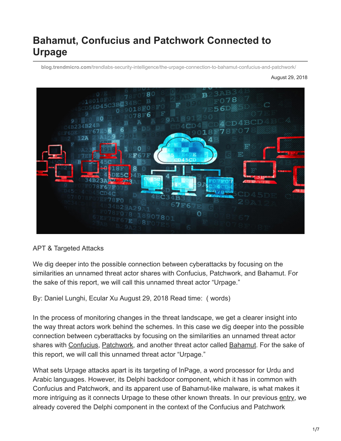# **Bahamut, Confucius and Patchwork Connected to Urpage**

**blog.trendmicro.com**[/trendlabs-security-intelligence/the-urpage-connection-to-bahamut-confucius-and-patchwork/](https://blog.trendmicro.com/trendlabs-security-intelligence/the-urpage-connection-to-bahamut-confucius-and-patchwork/)

August 29, 2018



#### APT & Targeted Attacks

We dig deeper into the possible connection between cyberattacks by focusing on the similarities an unnamed threat actor shares with Confucius, Patchwork, and Bahamut. For the sake of this report, we will call this unnamed threat actor "Urpage."

By: Daniel Lunghi, Ecular Xu August 29, 2018 Read time: ( words)

In the process of monitoring changes in the threat landscape, we get a clearer insight into the way threat actors work behind the schemes. In this case we dig deeper into the possible connection between cyberattacks by focusing on the similarities an unnamed threat actor shares with [Confucius](https://blog.trendmicro.com/trendlabs-security-intelligence/deciphering-confucius-cyberespionage-operations/), [Patchwork](https://blog.trendmicro.com/trendlabs-security-intelligence/untangling-the-patchwork-cyberespionage-group/), and another threat actor called [Bahamut.](https://www.bellingcat.com/resources/case-studies/2017/10/27/bahamut-revisited-cyber-espionage-middle-east-south-asia/) For the sake of this report, we will call this unnamed threat actor "Urpage."

What sets Urpage attacks apart is its targeting of InPage, a word processor for Urdu and Arabic languages. However, its Delphi backdoor component, which it has in common with Confucius and Patchwork, and its apparent use of Bahamut-like malware, is what makes it more intriguing as it connects Urpage to these other known threats. In our previous [entry,](https://blog.trendmicro.com/trendlabs-security-intelligence/confucius-update-new-tools-and-techniques-further-connections-with-patchwork/) we already covered the Delphi component in the context of the Confucius and Patchwork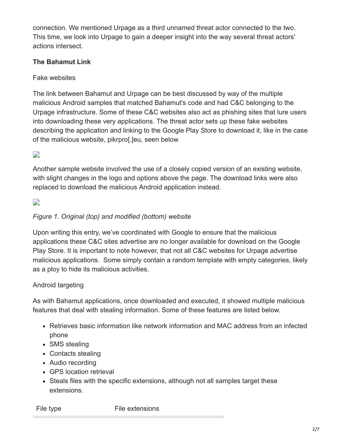connection. We mentioned Urpage as a third unnamed threat actor connected to the two. This time, we look into Urpage to gain a deeper insight into the way several threat actors' actions intersect.

## **The Bahamut Link**

Fake websites

The link between Bahamut and Urpage can be best discussed by way of the multiple malicious Android samples that matched Bahamut's code and had C&C belonging to the Urpage infrastructure. Some of these C&C websites also act as phishing sites that lure users into downloading these very applications. The threat actor sets up these fake websites describing the application and linking to the Google Play Store to download it, like in the case of the malicious website, pikrpro[.]eu, seen below

D

Another sample website involved the use of a closely copied version of an existing website, with slight changes in the logo and options above the page. The download links were also replaced to download the malicious Android application instead.

D

#### *Figure 1. Original (top) and modified (bottom) website*

Upon writing this entry, we've coordinated with Google to ensure that the malicious applications these C&C sites advertise are no longer available for download on the Google Play Store. It is important to note however, that not all C&C websites for Urpage advertise malicious applications. Some simply contain a random template with empty categories, likely as a ploy to hide its malicious activities.

#### Android targeting

As with Bahamut applications, once downloaded and executed, it showed multiple malicious features that deal with stealing information. Some of these features are listed below.

- Retrieves basic information like network information and MAC address from an infected phone
- SMS stealing
- Contacts stealing
- Audio recording
- GPS location retrieval
- Steals files with the specific extensions, although not all samples target these extensions.

File type File extensions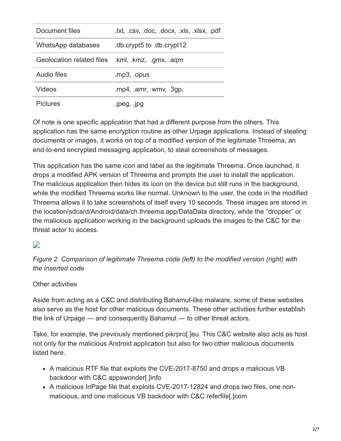| Document files            | .txt, .csv, .doc, .docx, .xls, .xlsx, .pdf |
|---------------------------|--------------------------------------------|
| WhatsApp databases        | db.crypt5 to .db.crypt12                   |
| Geolocation related files | .kml, .kmz, .gmx, .aqm                     |
| Audio files               | mp3, opus                                  |
| Videos                    | .mp4, .amr, .wmv, .3gp,                    |
| <b>Pictures</b>           | .jpeg, .jpg                                |

Of note is one specific application that had a different purpose from the others. This application has the same encryption routine as other Urpage applications. Instead of stealing documents or images, it works on top of a modified version of the legitimate Threema, an end-to-end encrypted messaging application, to steal screenshots of messages.

This application has the same icon and label as the legitimate Threema. Once launched, it drops a modified APK version of Threema and prompts the user to install the application. The malicious application then hides its icon on the device but still runs in the background, while the modified Threema works like normal. Unknown to the user, the code in the modified Threema allows it to take screenshots of itself every 10 seconds. These images are stored in the location/sdcard/Android/data/ch.threema.app/DataData directory, while the "dropper" or the malicious application working in the background uploads the images to the C&C for the threat actor to access.

#### D

*Figure 2. Comparison of legitimate Threema code (left) to the modified version (right) with the inserted code*

#### Other activities

Aside from acting as a C&C and distributing Bahamut-like malware, some of these websites also serve as the host for other malicious documents. These other activities further establish the link of Urpage — and consequently Bahamut — to other threat actors.

Take, for example, the previously mentioned pikrpro[.]eu. This C&C website also acts as host not only for the malicious Android application but also for two other malicious documents listed here.

- A malicious RTF file that exploits the CVE-2017-8750 and drops a malicious VB backdoor with C&C appswonder[.]info
- A malicious InPage file that exploits CVE-2017-12824 and drops two files, one nonmalicious, and one malicious VB backdoor with C&C referfile[.]com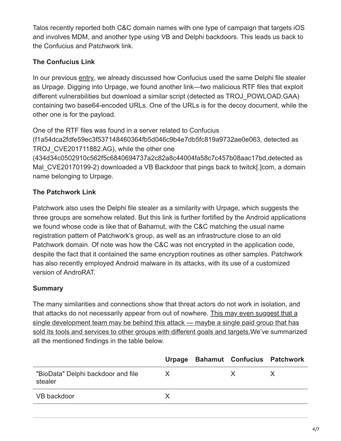Talos recently reported both C&C domain names with one type of campaign that targets iOS and involves MDM, and another type using VB and Delphi backdoors. This leads us back to the Confucius and Patchwork link.

# **The Confucius Link**

In our previous [entry,](https://blog.trendmicro.com/en_us/research/18/e/confucius-update-new-tools-and-techniques-further-connections-with-patchwork.html) we already discussed how Confucius used the same Delphi file stealer as Urpage. Digging into Urpage, we found another link—two malicious RTF files that exploit different vulnerabilities but download a similar script (detected as TROJ\_POWLOAD.GAA) containing two base64-encoded URLs. One of the URLs is for the decoy document, while the other one is for the payload.

One of the RTF files was found in a server related to Confucius (f1a54dca2fdfe59ec3f537148460364fb5d046c9b4e7db5fc819a9732ae0e063, detected as TROJ CVE201711882.AG), while the other one (434d34c0502910c562f5c6840694737a2c82a8c44004fa58c7c457b08aac17bd,detected as Mal CVE20170199-2) downloaded a VB Backdoor that pings back to twitck[.]com, a domain name belonging to Urpage.

# **The Patchwork Link**

Patchwork also uses the Delphi file stealer as a similarity with Urpage, which suggests the three groups are somehow related. But this link is further fortified by the Android applications we found whose code is like that of Bahamut, with the C&C matching the usual name registration pattern of Patchwork's group, as well as an infrastructure close to an old Patchwork domain. Of note was how the C&C was not encrypted in the application code, despite the fact that it contained the same encryption routines as other samples. Patchwork has also recently employed Android malware in its attacks, with its use of a customized version of AndroRAT.

## **Summary**

The many similarities and connections show that threat actors do not work in isolation, and that attacks do not necessarily appear from out of nowhere. This may even suggest that a [single development team may be behind this attack — maybe a single paid group that has](https://ctt.ac/jQv59) sold its tools and services to other groups with different goals and targets.We've summarized all the mentioned findings in the table below.

|                                               |   | Urpage Bahamut Confucius Patchwork |  |
|-----------------------------------------------|---|------------------------------------|--|
| "BioData" Delphi backdoor and file<br>stealer | X | X.                                 |  |
| VB backdoor                                   |   |                                    |  |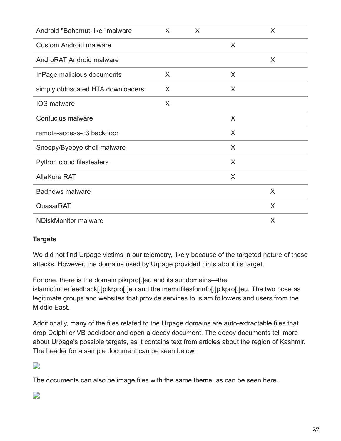| Android "Bahamut-like" malware    | X | X |   | X |
|-----------------------------------|---|---|---|---|
| <b>Custom Android malware</b>     |   |   | X |   |
| AndroRAT Android malware          |   |   |   | X |
| InPage malicious documents        | X |   | X |   |
| simply obfuscated HTA downloaders | X |   | X |   |
| <b>IOS</b> malware                | X |   |   |   |
| Confucius malware                 |   |   | X |   |
| remote-access-c3 backdoor         |   |   | X |   |
| Sneepy/Byebye shell malware       |   |   | X |   |
| Python cloud filestealers         |   |   | X |   |
| <b>AllaKore RAT</b>               |   |   | X |   |
| <b>Badnews malware</b>            |   |   |   | X |
| QuasarRAT                         |   |   |   | X |
| <b>NDiskMonitor malware</b>       |   |   |   | X |

#### **Targets**

We did not find Urpage victims in our telemetry, likely because of the targeted nature of these attacks. However, the domains used by Urpage provided hints about its target.

For one, there is the domain pikrpro[.]eu and its subdomains—the islamicfinderfeedback[.]pikrpro[.]eu and the memrifilesforinfo[.]pikpro[.]eu. The two pose as legitimate groups and websites that provide services to Islam followers and users from the Middle East.

Additionally, many of the files related to the Urpage domains are auto-extractable files that drop Delphi or VB backdoor and open a decoy document. The decoy documents tell more about Urpage's possible targets, as it contains text from articles about the region of Kashmir. The header for a sample document can be seen below.

 $\overline{\phantom{a}}$ 

The documents can also be image files with the same theme, as can be seen here.

 $\overline{\phantom{a}}$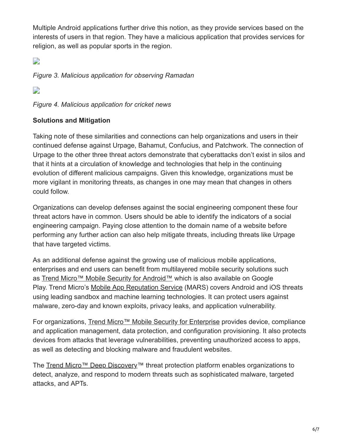Multiple Android applications further drive this notion, as they provide services based on the interests of users in that region. They have a malicious application that provides services for religion, as well as popular sports in the region.

 $\overrightarrow{r}$ 

*Figure 3. Malicious application for observing Ramadan*

D

*Figure 4. Malicious application for cricket news*

### **Solutions and Mitigation**

Taking note of these similarities and connections can help organizations and users in their continued defense against Urpage, Bahamut, Confucius, and Patchwork. The connection of Urpage to the other three threat actors demonstrate that cyberattacks don't exist in silos and that it hints at a circulation of knowledge and technologies that help in the continuing evolution of different malicious campaigns. Given this knowledge, organizations must be more vigilant in monitoring threats, as changes in one may mean that changes in others could follow.

Organizations can develop defenses against the social engineering component these four threat actors have in common. Users should be able to identify the indicators of a social engineering campaign. Paying close attention to the domain name of a website before performing any further action can also help mitigate threats, including threats like Urpage that have targeted victims.

As an additional defense against the growing use of malicious mobile applications, enterprises and end users can benefit from multilayered mobile security solutions such as [Trend Micro™ Mobile Security for Android™](https://blog.trendmicro.com/en_us/forHome/products/mobile-security.html) which is also available on Google Play. Trend Micro's [Mobile App Reputation Service](https://mars.trendmicro.com/) (MARS) covers Android and iOS threats using leading sandbox and machine learning technologies. It can protect users against malware, zero-day and known exploits, privacy leaks, and application vulnerability.

For organizations, [Trend Micro™ Mobile Security for Enterprise](https://blog.trendmicro.com/en_us/forHome/products/mobile-security.html) provides device, compliance and application management, data protection, and configuration provisioning. It also protects devices from attacks that leverage vulnerabilities, preventing unauthorized access to apps, as well as detecting and blocking malware and fraudulent websites.

The [Trend Micro™ Deep Discovery™](https://www.trendmicro.com/vinfo/tmr/?/us/security/news/cyber-attacks/understanding-targeted-attacks-what-is-a-targeted-attack) threat protection platform enables organizations to detect, analyze, and respond to modern threats such as sophisticated malware, targeted attacks, and APTs.